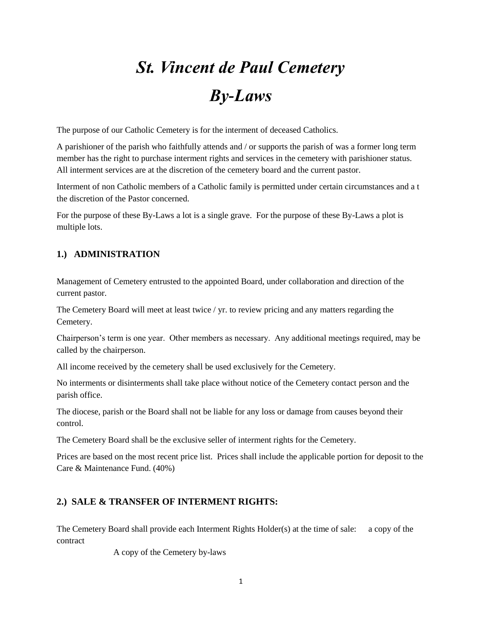# *St. Vincent de Paul Cemetery By-Laws*

The purpose of our Catholic Cemetery is for the interment of deceased Catholics.

A parishioner of the parish who faithfully attends and / or supports the parish of was a former long term member has the right to purchase interment rights and services in the cemetery with parishioner status. All interment services are at the discretion of the cemetery board and the current pastor.

Interment of non Catholic members of a Catholic family is permitted under certain circumstances and a t the discretion of the Pastor concerned.

For the purpose of these By-Laws a lot is a single grave. For the purpose of these By-Laws a plot is multiple lots.

## **1.) ADMINISTRATION**

Management of Cemetery entrusted to the appointed Board, under collaboration and direction of the current pastor.

The Cemetery Board will meet at least twice / yr. to review pricing and any matters regarding the Cemetery.

Chairperson's term is one year. Other members as necessary. Any additional meetings required, may be called by the chairperson.

All income received by the cemetery shall be used exclusively for the Cemetery.

No interments or disinterments shall take place without notice of the Cemetery contact person and the parish office.

The diocese, parish or the Board shall not be liable for any loss or damage from causes beyond their control.

The Cemetery Board shall be the exclusive seller of interment rights for the Cemetery.

Prices are based on the most recent price list. Prices shall include the applicable portion for deposit to the Care & Maintenance Fund. (40%)

## **2.) SALE & TRANSFER OF INTERMENT RIGHTS:**

The Cemetery Board shall provide each Interment Rights Holder(s) at the time of sale: a copy of the contract

A copy of the Cemetery by-laws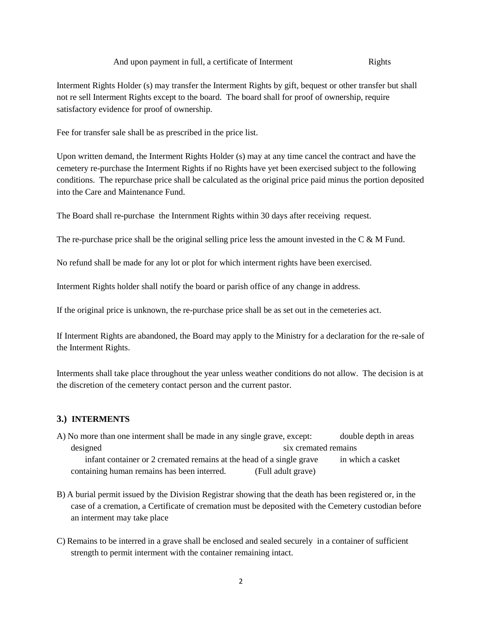Interment Rights Holder (s) may transfer the Interment Rights by gift, bequest or other transfer but shall not re sell Interment Rights except to the board. The board shall for proof of ownership, require satisfactory evidence for proof of ownership.

Fee for transfer sale shall be as prescribed in the price list.

Upon written demand, the Interment Rights Holder (s) may at any time cancel the contract and have the cemetery re-purchase the Interment Rights if no Rights have yet been exercised subject to the following conditions. The repurchase price shall be calculated as the original price paid minus the portion deposited into the Care and Maintenance Fund.

The Board shall re-purchase the Internment Rights within 30 days after receiving request.

The re-purchase price shall be the original selling price less the amount invested in the C & M Fund.

No refund shall be made for any lot or plot for which interment rights have been exercised.

Interment Rights holder shall notify the board or parish office of any change in address.

If the original price is unknown, the re-purchase price shall be as set out in the cemeteries act.

If Interment Rights are abandoned, the Board may apply to the Ministry for a declaration for the re-sale of the Interment Rights.

Interments shall take place throughout the year unless weather conditions do not allow. The decision is at the discretion of the cemetery contact person and the current pastor.

#### **3.) INTERMENTS**

- A) No more than one interment shall be made in any single grave, except: double depth in areas designed six cremated remains infant container or 2 cremated remains at the head of a single grave in which a casket containing human remains has been interred. (Full adult grave)
- B) A burial permit issued by the Division Registrar showing that the death has been registered or, in the case of a cremation, a Certificate of cremation must be deposited with the Cemetery custodian before an interment may take place
- C) Remains to be interred in a grave shall be enclosed and sealed securely in a container of sufficient strength to permit interment with the container remaining intact.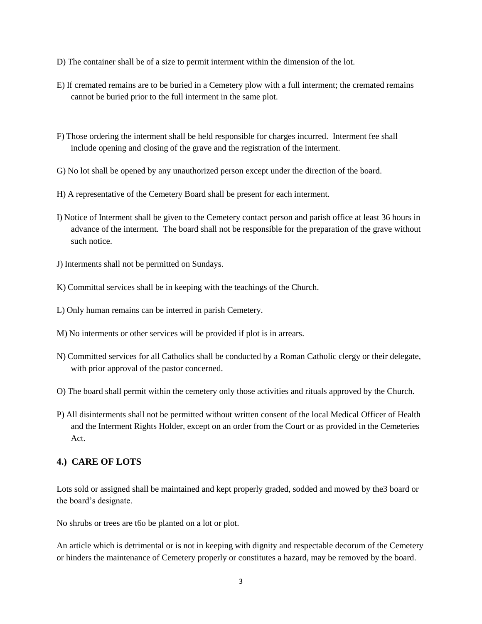- D) The container shall be of a size to permit interment within the dimension of the lot.
- E) If cremated remains are to be buried in a Cemetery plow with a full interment; the cremated remains cannot be buried prior to the full interment in the same plot.
- F) Those ordering the interment shall be held responsible for charges incurred. Interment fee shall include opening and closing of the grave and the registration of the interment.
- G) No lot shall be opened by any unauthorized person except under the direction of the board.
- H) A representative of the Cemetery Board shall be present for each interment.
- I) Notice of Interment shall be given to the Cemetery contact person and parish office at least 36 hours in advance of the interment. The board shall not be responsible for the preparation of the grave without such notice.
- J) Interments shall not be permitted on Sundays.
- K) Committal services shall be in keeping with the teachings of the Church.
- L) Only human remains can be interred in parish Cemetery.
- M) No interments or other services will be provided if plot is in arrears.
- N) Committed services for all Catholics shall be conducted by a Roman Catholic clergy or their delegate, with prior approval of the pastor concerned.
- O) The board shall permit within the cemetery only those activities and rituals approved by the Church.
- P) All disinterments shall not be permitted without written consent of the local Medical Officer of Health and the Interment Rights Holder, except on an order from the Court or as provided in the Cemeteries Act.

#### **4.) CARE OF LOTS**

Lots sold or assigned shall be maintained and kept properly graded, sodded and mowed by the3 board or the board's designate.

No shrubs or trees are t6o be planted on a lot or plot.

An article which is detrimental or is not in keeping with dignity and respectable decorum of the Cemetery or hinders the maintenance of Cemetery properly or constitutes a hazard, may be removed by the board.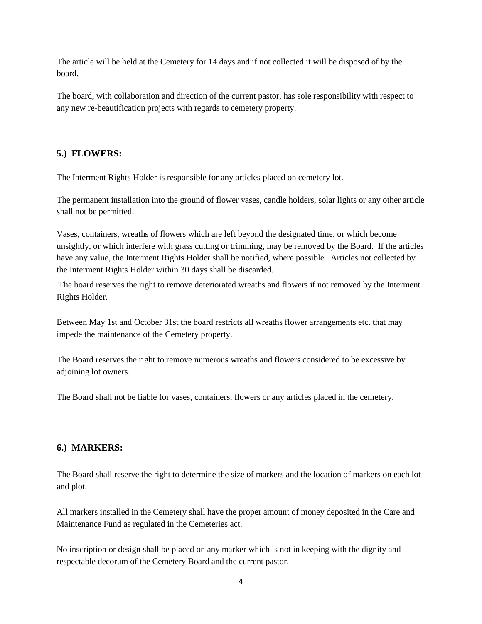The article will be held at the Cemetery for 14 days and if not collected it will be disposed of by the board.

The board, with collaboration and direction of the current pastor, has sole responsibility with respect to any new re-beautification projects with regards to cemetery property.

### **5.) FLOWERS:**

The Interment Rights Holder is responsible for any articles placed on cemetery lot.

The permanent installation into the ground of flower vases, candle holders, solar lights or any other article shall not be permitted.

Vases, containers, wreaths of flowers which are left beyond the designated time, or which become unsightly, or which interfere with grass cutting or trimming, may be removed by the Board. If the articles have any value, the Interment Rights Holder shall be notified, where possible. Articles not collected by the Interment Rights Holder within 30 days shall be discarded.

The board reserves the right to remove deteriorated wreaths and flowers if not removed by the Interment Rights Holder.

Between May 1st and October 31st the board restricts all wreaths flower arrangements etc. that may impede the maintenance of the Cemetery property.

The Board reserves the right to remove numerous wreaths and flowers considered to be excessive by adjoining lot owners.

The Board shall not be liable for vases, containers, flowers or any articles placed in the cemetery.

## **6.) MARKERS:**

The Board shall reserve the right to determine the size of markers and the location of markers on each lot and plot.

All markers installed in the Cemetery shall have the proper amount of money deposited in the Care and Maintenance Fund as regulated in the Cemeteries act.

No inscription or design shall be placed on any marker which is not in keeping with the dignity and respectable decorum of the Cemetery Board and the current pastor.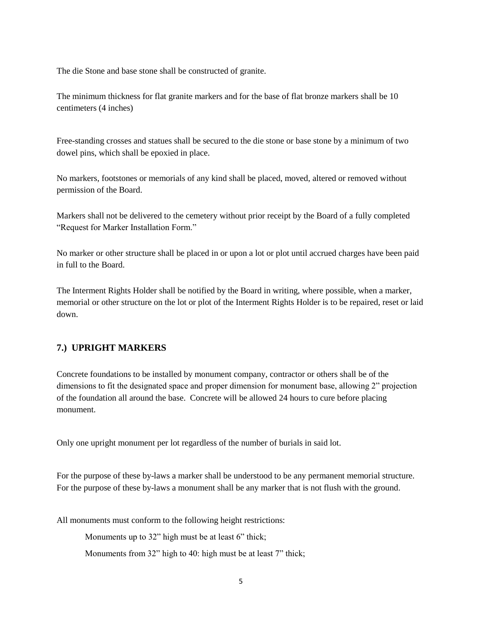The die Stone and base stone shall be constructed of granite.

The minimum thickness for flat granite markers and for the base of flat bronze markers shall be 10 centimeters (4 inches)

Free-standing crosses and statues shall be secured to the die stone or base stone by a minimum of two dowel pins, which shall be epoxied in place.

No markers, footstones or memorials of any kind shall be placed, moved, altered or removed without permission of the Board.

Markers shall not be delivered to the cemetery without prior receipt by the Board of a fully completed "Request for Marker Installation Form."

No marker or other structure shall be placed in or upon a lot or plot until accrued charges have been paid in full to the Board.

The Interment Rights Holder shall be notified by the Board in writing, where possible, when a marker, memorial or other structure on the lot or plot of the Interment Rights Holder is to be repaired, reset or laid down.

#### **7.) UPRIGHT MARKERS**

Concrete foundations to be installed by monument company, contractor or others shall be of the dimensions to fit the designated space and proper dimension for monument base, allowing 2" projection of the foundation all around the base. Concrete will be allowed 24 hours to cure before placing monument.

Only one upright monument per lot regardless of the number of burials in said lot.

For the purpose of these by-laws a marker shall be understood to be any permanent memorial structure. For the purpose of these by-laws a monument shall be any marker that is not flush with the ground.

All monuments must conform to the following height restrictions:

Monuments up to 32" high must be at least 6" thick;

Monuments from 32" high to 40: high must be at least 7" thick;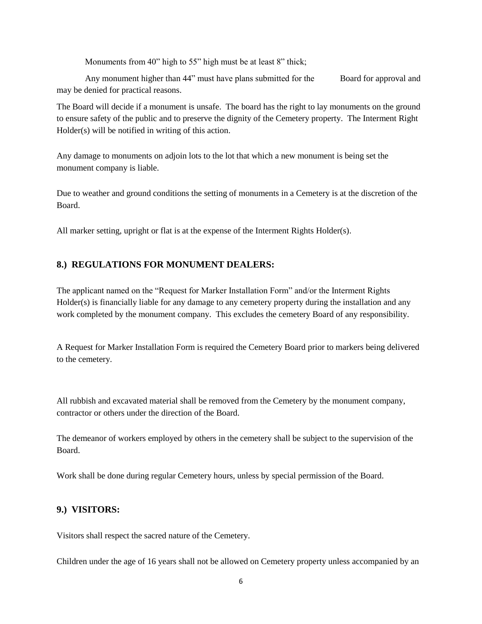Monuments from 40" high to 55" high must be at least 8" thick;

Any monument higher than 44" must have plans submitted for the Board for approval and may be denied for practical reasons.

The Board will decide if a monument is unsafe. The board has the right to lay monuments on the ground to ensure safety of the public and to preserve the dignity of the Cemetery property. The Interment Right Holder(s) will be notified in writing of this action.

Any damage to monuments on adjoin lots to the lot that which a new monument is being set the monument company is liable.

Due to weather and ground conditions the setting of monuments in a Cemetery is at the discretion of the Board.

All marker setting, upright or flat is at the expense of the Interment Rights Holder(s).

## **8.) REGULATIONS FOR MONUMENT DEALERS:**

The applicant named on the "Request for Marker Installation Form" and/or the Interment Rights Holder(s) is financially liable for any damage to any cemetery property during the installation and any work completed by the monument company. This excludes the cemetery Board of any responsibility.

A Request for Marker Installation Form is required the Cemetery Board prior to markers being delivered to the cemetery.

All rubbish and excavated material shall be removed from the Cemetery by the monument company, contractor or others under the direction of the Board.

The demeanor of workers employed by others in the cemetery shall be subject to the supervision of the Board.

Work shall be done during regular Cemetery hours, unless by special permission of the Board.

#### **9.) VISITORS:**

Visitors shall respect the sacred nature of the Cemetery.

Children under the age of 16 years shall not be allowed on Cemetery property unless accompanied by an